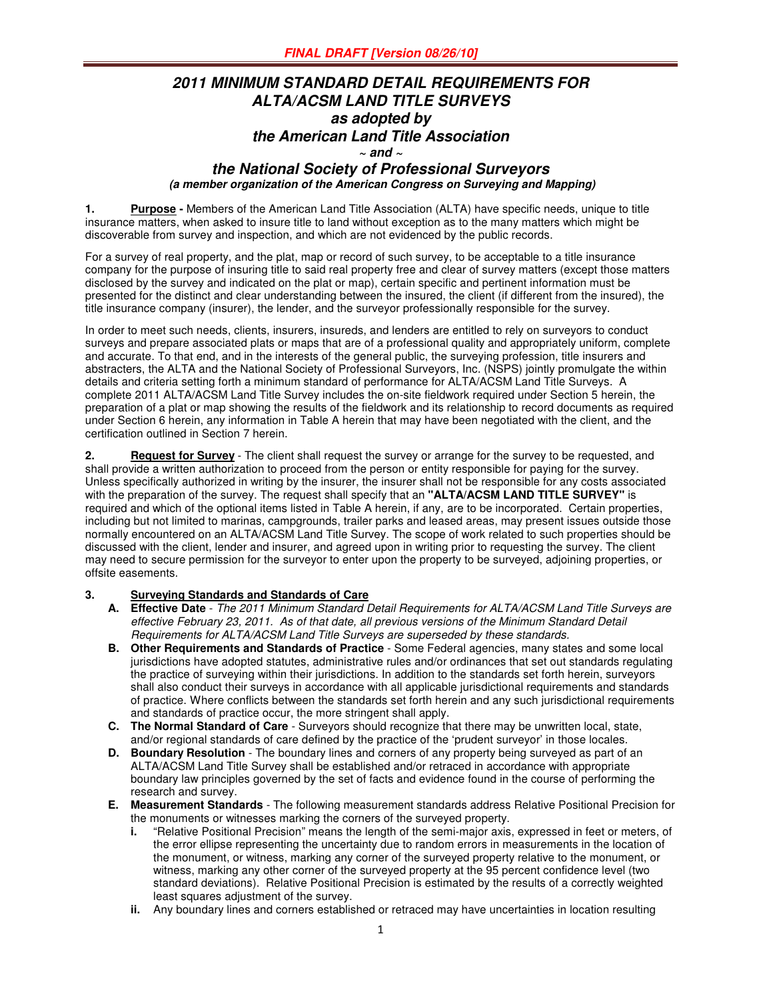# **2011 MINIMUM STANDARD DETAIL REQUIREMENTS FOR ALTA/ACSM LAND TITLE SURVEYS as adopted by the American Land Title Association**   $\sim$  and  $\sim$ **the National Society of Professional Surveyors (a member organization of the American Congress on Surveying and Mapping)**

**1. Purpose -** Members of the American Land Title Association (ALTA) have specific needs, unique to title insurance matters, when asked to insure title to land without exception as to the many matters which might be discoverable from survey and inspection, and which are not evidenced by the public records.

For a survey of real property, and the plat, map or record of such survey, to be acceptable to a title insurance company for the purpose of insuring title to said real property free and clear of survey matters (except those matters disclosed by the survey and indicated on the plat or map), certain specific and pertinent information must be presented for the distinct and clear understanding between the insured, the client (if different from the insured), the title insurance company (insurer), the lender, and the surveyor professionally responsible for the survey.

In order to meet such needs, clients, insurers, insureds, and lenders are entitled to rely on surveyors to conduct surveys and prepare associated plats or maps that are of a professional quality and appropriately uniform, complete and accurate. To that end, and in the interests of the general public, the surveying profession, title insurers and abstracters, the ALTA and the National Society of Professional Surveyors, Inc. (NSPS) jointly promulgate the within details and criteria setting forth a minimum standard of performance for ALTA/ACSM Land Title Surveys. A complete 2011 ALTA/ACSM Land Title Survey includes the on-site fieldwork required under Section 5 herein, the preparation of a plat or map showing the results of the fieldwork and its relationship to record documents as required under Section 6 herein, any information in Table A herein that may have been negotiated with the client, and the certification outlined in Section 7 herein.

**2. Request for Survey** - The client shall request the survey or arrange for the survey to be requested, and shall provide a written authorization to proceed from the person or entity responsible for paying for the survey. Unless specifically authorized in writing by the insurer, the insurer shall not be responsible for any costs associated with the preparation of the survey. The request shall specify that an **"ALTA/ACSM LAND TITLE SURVEY"** is required and which of the optional items listed in Table A herein, if any, are to be incorporated. Certain properties, including but not limited to marinas, campgrounds, trailer parks and leased areas, may present issues outside those normally encountered on an ALTA/ACSM Land Title Survey. The scope of work related to such properties should be discussed with the client, lender and insurer, and agreed upon in writing prior to requesting the survey. The client may need to secure permission for the surveyor to enter upon the property to be surveyed, adjoining properties, or offsite easements.

#### **3. Surveying Standards and Standards of Care**

- **A. Effective Date**  The 2011 Minimum Standard Detail Requirements for ALTA/ACSM Land Title Surveys are effective February 23, 2011. As of that date, all previous versions of the Minimum Standard Detail Requirements for ALTA/ACSM Land Title Surveys are superseded by these standards.
- **B. Other Requirements and Standards of Practice** Some Federal agencies, many states and some local jurisdictions have adopted statutes, administrative rules and/or ordinances that set out standards regulating the practice of surveying within their jurisdictions. In addition to the standards set forth herein, surveyors shall also conduct their surveys in accordance with all applicable jurisdictional requirements and standards of practice. Where conflicts between the standards set forth herein and any such jurisdictional requirements and standards of practice occur, the more stringent shall apply.
- **C. The Normal Standard of Care** Surveyors should recognize that there may be unwritten local, state, and/or regional standards of care defined by the practice of the 'prudent surveyor' in those locales.
- **D.** Boundary Resolution The boundary lines and corners of any property being surveyed as part of an ALTA/ACSM Land Title Survey shall be established and/or retraced in accordance with appropriate boundary law principles governed by the set of facts and evidence found in the course of performing the research and survey.
- **E. Measurement Standards**  The following measurement standards address Relative Positional Precision for the monuments or witnesses marking the corners of the surveyed property.<br> **i** "Belative Positional Precision" means the length of the semi-major avis
	- **i.** "Relative Positional Precision" means the length of the semi-major axis, expressed in feet or meters, of the error ellipse representing the uncertainty due to random errors in measurements in the location of the monument, or witness, marking any corner of the surveyed property relative to the monument, or witness, marking any other corner of the surveyed property at the 95 percent confidence level (two standard deviations). Relative Positional Precision is estimated by the results of a correctly weighted least squares adjustment of the survey.
	- **ii.** Any boundary lines and corners established or retraced may have uncertainties in location resulting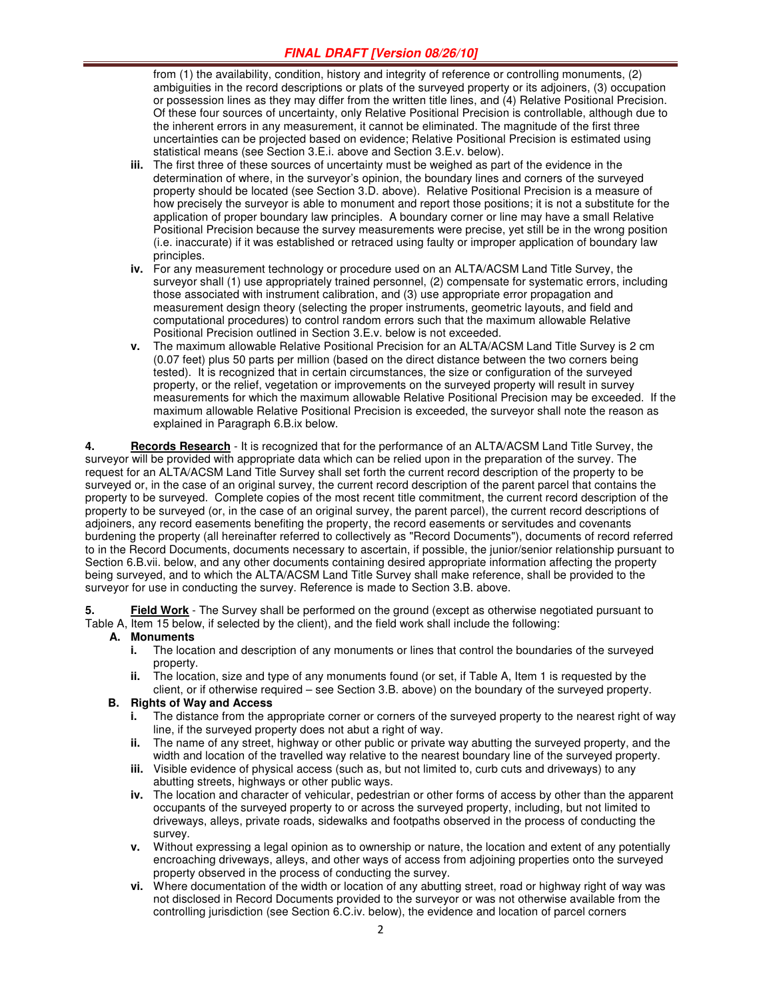from (1) the availability, condition, history and integrity of reference or controlling monuments, (2) ambiguities in the record descriptions or plats of the surveyed property or its adjoiners, (3) occupation or possession lines as they may differ from the written title lines, and (4) Relative Positional Precision. Of these four sources of uncertainty, only Relative Positional Precision is controllable, although due to the inherent errors in any measurement, it cannot be eliminated. The magnitude of the first three uncertainties can be projected based on evidence; Relative Positional Precision is estimated using statistical means (see Section 3.E.i. above and Section 3.E.v. below).

- **iii.** The first three of these sources of uncertainty must be weighed as part of the evidence in the determination of where, in the surveyor's opinion, the boundary lines and corners of the surveyed property should be located (see Section 3.D. above). Relative Positional Precision is a measure of how precisely the surveyor is able to monument and report those positions; it is not a substitute for the application of proper boundary law principles. A boundary corner or line may have a small Relative Positional Precision because the survey measurements were precise, yet still be in the wrong position (i.e. inaccurate) if it was established or retraced using faulty or improper application of boundary law principles.
- **iv.** For any measurement technology or procedure used on an ALTA/ACSM Land Title Survey, the surveyor shall (1) use appropriately trained personnel, (2) compensate for systematic errors, including those associated with instrument calibration, and (3) use appropriate error propagation and measurement design theory (selecting the proper instruments, geometric layouts, and field and computational procedures) to control random errors such that the maximum allowable Relative Positional Precision outlined in Section 3.E.v. below is not exceeded.
- **v.** The maximum allowable Relative Positional Precision for an ALTA/ACSM Land Title Survey is 2 cm (0.07 feet) plus 50 parts per million (based on the direct distance between the two corners being tested). It is recognized that in certain circumstances, the size or configuration of the surveyed property, or the relief, vegetation or improvements on the surveyed property will result in survey measurements for which the maximum allowable Relative Positional Precision may be exceeded. If the maximum allowable Relative Positional Precision is exceeded, the surveyor shall note the reason as explained in Paragraph 6.B.ix below.

**4. Records Research** - It is recognized that for the performance of an ALTA/ACSM Land Title Survey, the surveyor will be provided with appropriate data which can be relied upon in the preparation of the survey. The request for an ALTA/ACSM Land Title Survey shall set forth the current record description of the property to be surveyed or, in the case of an original survey, the current record description of the parent parcel that contains the property to be surveyed. Complete copies of the most recent title commitment, the current record description of the property to be surveyed (or, in the case of an original survey, the parent parcel), the current record descriptions of adjoiners, any record easements benefiting the property, the record easements or servitudes and covenants burdening the property (all hereinafter referred to collectively as "Record Documents"), documents of record referred to in the Record Documents, documents necessary to ascertain, if possible, the junior/senior relationship pursuant to Section 6.B.vii. below, and any other documents containing desired appropriate information affecting the property being surveyed, and to which the ALTA/ACSM Land Title Survey shall make reference, shall be provided to the surveyor for use in conducting the survey. Reference is made to Section 3.B. above.

**5. Field Work** - The Survey shall be performed on the ground (except as otherwise negotiated pursuant to Table A, Item 15 below, if selected by the client), and the field work shall include the following:

# **A. Monuments**

- **i.** The location and description of any monuments or lines that control the boundaries of the surveyed property.
- **ii.** The location, size and type of any monuments found (or set, if Table A, Item 1 is requested by the client, or if otherwise required – see Section 3.B. above) on the boundary of the surveyed property.

# **B. Rights of Way and Access**

- **i.** The distance from the appropriate corner or corners of the surveyed property to the nearest right of way line, if the surveyed property does not abut a right of way.
- **ii.** The name of any street, highway or other public or private way abutting the surveyed property, and the width and location of the travelled way relative to the nearest boundary line of the surveyed property.
- **iii.** Visible evidence of physical access (such as, but not limited to, curb cuts and driveways) to any abutting streets, highways or other public ways.
- **iv.** The location and character of vehicular, pedestrian or other forms of access by other than the apparent occupants of the surveyed property to or across the surveyed property, including, but not limited to driveways, alleys, private roads, sidewalks and footpaths observed in the process of conducting the survey.
- **v.** Without expressing a legal opinion as to ownership or nature, the location and extent of any potentially encroaching driveways, alleys, and other ways of access from adjoining properties onto the surveyed property observed in the process of conducting the survey.
- **vi.** Where documentation of the width or location of any abutting street, road or highway right of way was not disclosed in Record Documents provided to the surveyor or was not otherwise available from the controlling jurisdiction (see Section 6.C.iv. below), the evidence and location of parcel corners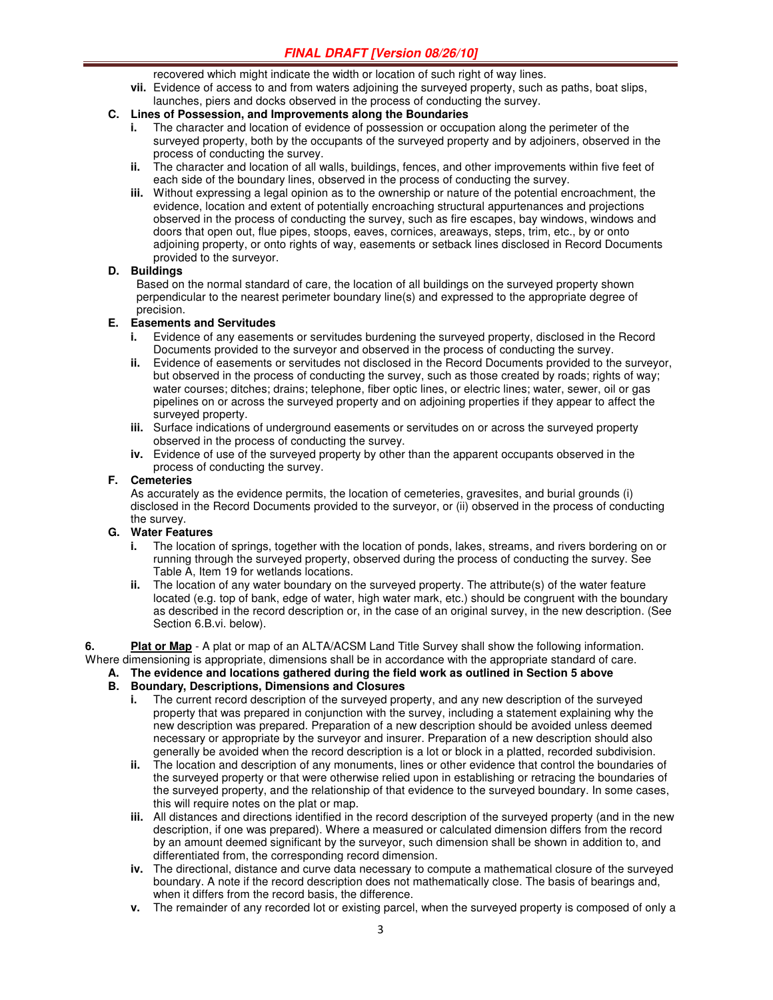recovered which might indicate the width or location of such right of way lines.

**vii.** Evidence of access to and from waters adjoining the surveyed property, such as paths, boat slips, launches, piers and docks observed in the process of conducting the survey.

# **C. Lines of Possession, and Improvements along the Boundaries**

- **i.** The character and location of evidence of possession or occupation along the perimeter of the surveyed property, both by the occupants of the surveyed property and by adjoiners, observed in the process of conducting the survey.
- **ii.** The character and location of all walls, buildings, fences, and other improvements within five feet of each side of the boundary lines, observed in the process of conducting the survey.
- **iii.** Without expressing a legal opinion as to the ownership or nature of the potential encroachment, the evidence, location and extent of potentially encroaching structural appurtenances and projections observed in the process of conducting the survey, such as fire escapes, bay windows, windows and doors that open out, flue pipes, stoops, eaves, cornices, areaways, steps, trim, etc., by or onto adjoining property, or onto rights of way, easements or setback lines disclosed in Record Documents provided to the surveyor.

# **D. Buildings**

Based on the normal standard of care, the location of all buildings on the surveyed property shown perpendicular to the nearest perimeter boundary line(s) and expressed to the appropriate degree of precision.

# **E. Easements and Servitudes**

- **i.** Evidence of any easements or servitudes burdening the surveyed property, disclosed in the Record Documents provided to the surveyor and observed in the process of conducting the survey.
- **ii.** Evidence of easements or servitudes not disclosed in the Record Documents provided to the surveyor, but observed in the process of conducting the survey, such as those created by roads; rights of way; water courses; ditches; drains; telephone, fiber optic lines, or electric lines; water, sewer, oil or gas pipelines on or across the surveyed property and on adjoining properties if they appear to affect the surveyed property.
- **iii.** Surface indications of underground easements or servitudes on or across the surveyed property observed in the process of conducting the survey.
- **iv.** Evidence of use of the surveyed property by other than the apparent occupants observed in the process of conducting the survey.

# **F. Cemeteries**

As accurately as the evidence permits, the location of cemeteries, gravesites, and burial grounds (i) disclosed in the Record Documents provided to the surveyor, or (ii) observed in the process of conducting the survey.

# **G. Water Features**

- **i.** The location of springs, together with the location of ponds, lakes, streams, and rivers bordering on or running through the surveyed property, observed during the process of conducting the survey. See Table A, Item 19 for wetlands locations.
- **ii.** The location of any water boundary on the surveyed property. The attribute(s) of the water feature located (e.g. top of bank, edge of water, high water mark, etc.) should be congruent with the boundary as described in the record description or, in the case of an original survey, in the new description. (See Section 6.B.vi. below).

**6. Plat or Map** - A plat or map of an ALTA/ACSM Land Title Survey shall show the following information. Where dimensioning is appropriate, dimensions shall be in accordance with the appropriate standard of care.

#### **A. The evidence and locations gathered during the field work as outlined in Section 5 above**

# **B. Boundary, Descriptions, Dimensions and Closures**

- **i.** The current record description of the surveyed property, and any new description of the surveyed property that was prepared in conjunction with the survey, including a statement explaining why the new description was prepared. Preparation of a new description should be avoided unless deemed necessary or appropriate by the surveyor and insurer. Preparation of a new description should also generally be avoided when the record description is a lot or block in a platted, recorded subdivision.
- **ii.** The location and description of any monuments, lines or other evidence that control the boundaries of the surveyed property or that were otherwise relied upon in establishing or retracing the boundaries of the surveyed property, and the relationship of that evidence to the surveyed boundary. In some cases, this will require notes on the plat or map.
- **iii.** All distances and directions identified in the record description of the surveyed property (and in the new description, if one was prepared). Where a measured or calculated dimension differs from the record by an amount deemed significant by the surveyor, such dimension shall be shown in addition to, and differentiated from, the corresponding record dimension.
- **iv.** The directional, distance and curve data necessary to compute a mathematical closure of the surveyed boundary. A note if the record description does not mathematically close. The basis of bearings and, when it differs from the record basis, the difference.
- **v.** The remainder of any recorded lot or existing parcel, when the surveyed property is composed of only a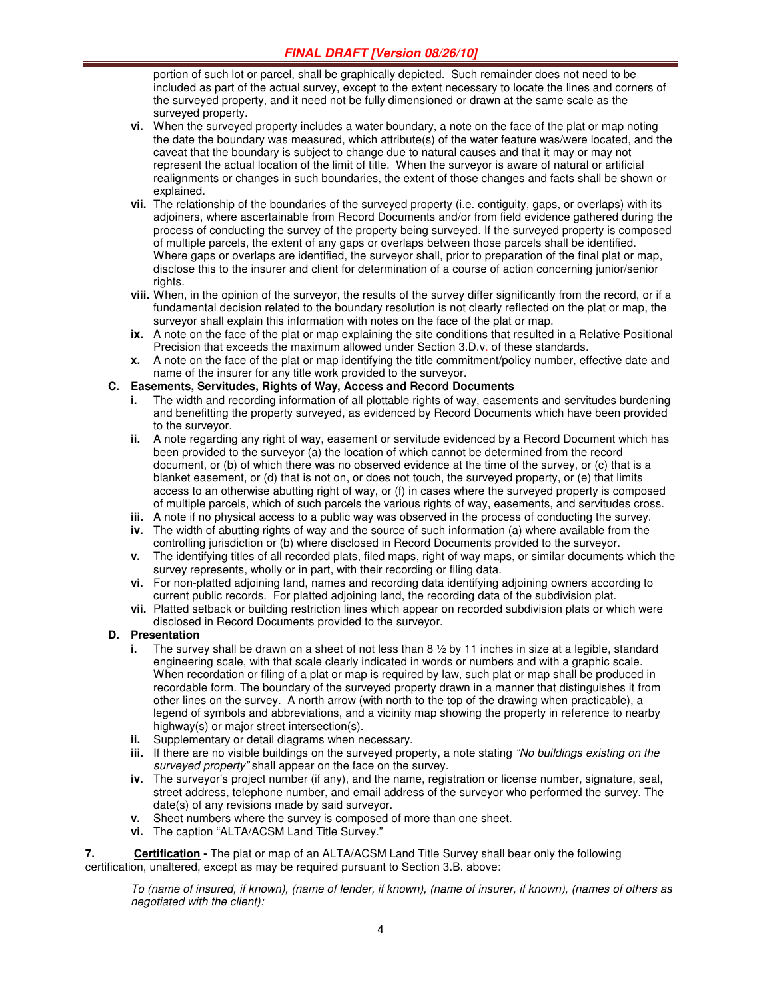portion of such lot or parcel, shall be graphically depicted. Such remainder does not need to be included as part of the actual survey, except to the extent necessary to locate the lines and corners of the surveyed property, and it need not be fully dimensioned or drawn at the same scale as the surveyed property.

- **vi.** When the surveyed property includes a water boundary, a note on the face of the plat or map noting the date the boundary was measured, which attribute(s) of the water feature was/were located, and the caveat that the boundary is subject to change due to natural causes and that it may or may not represent the actual location of the limit of title. When the surveyor is aware of natural or artificial realignments or changes in such boundaries, the extent of those changes and facts shall be shown or explained.
- **vii.** The relationship of the boundaries of the surveyed property (i.e. contiguity, gaps, or overlaps) with its adjoiners, where ascertainable from Record Documents and/or from field evidence gathered during the process of conducting the survey of the property being surveyed. If the surveyed property is composed of multiple parcels, the extent of any gaps or overlaps between those parcels shall be identified. Where gaps or overlaps are identified, the surveyor shall, prior to preparation of the final plat or map, disclose this to the insurer and client for determination of a course of action concerning junior/senior rights.
- **viii.** When, in the opinion of the surveyor, the results of the survey differ significantly from the record, or if a fundamental decision related to the boundary resolution is not clearly reflected on the plat or map, the surveyor shall explain this information with notes on the face of the plat or map.
- **ix.** A note on the face of the plat or map explaining the site conditions that resulted in a Relative Positional Precision that exceeds the maximum allowed under Section 3.D.v. of these standards.
- **x.** A note on the face of the plat or map identifying the title commitment/policy number, effective date and name of the insurer for any title work provided to the surveyor.

# **C. Easements, Servitudes, Rights of Way, Access and Record Documents**

- **i.** The width and recording information of all plottable rights of way, easements and servitudes burdening and benefitting the property surveyed, as evidenced by Record Documents which have been provided to the surveyor.
- **ii.** A note regarding any right of way, easement or servitude evidenced by a Record Document which has been provided to the surveyor (a) the location of which cannot be determined from the record document, or (b) of which there was no observed evidence at the time of the survey, or (c) that is a blanket easement, or (d) that is not on, or does not touch, the surveyed property, or (e) that limits access to an otherwise abutting right of way, or (f) in cases where the surveyed property is composed of multiple parcels, which of such parcels the various rights of way, easements, and servitudes cross.
- **iii.** A note if no physical access to a public way was observed in the process of conducting the survey.
- **iv.** The width of abutting rights of way and the source of such information (a) where available from the controlling jurisdiction or (b) where disclosed in Record Documents provided to the surveyor.
- **v.** The identifying titles of all recorded plats, filed maps, right of way maps, or similar documents which the survey represents, wholly or in part, with their recording or filing data.
- **vi.** For non-platted adjoining land, names and recording data identifying adjoining owners according to current public records. For platted adjoining land, the recording data of the subdivision plat.
- **vii.** Platted setback or building restriction lines which appear on recorded subdivision plats or which were disclosed in Record Documents provided to the surveyor.

#### **D. Presentation**

- **i.** The survey shall be drawn on a sheet of not less than 8 ½ by 11 inches in size at a legible, standard engineering scale, with that scale clearly indicated in words or numbers and with a graphic scale. When recordation or filing of a plat or map is required by law, such plat or map shall be produced in recordable form. The boundary of the surveyed property drawn in a manner that distinguishes it from other lines on the survey. A north arrow (with north to the top of the drawing when practicable), a legend of symbols and abbreviations, and a vicinity map showing the property in reference to nearby highway(s) or major street intersection(s).
- **ii.** Supplementary or detail diagrams when necessary.
- **iii.** If there are no visible buildings on the surveyed property, a note stating "No buildings existing on the surveyed property" shall appear on the face on the survey.
- **iv.** The surveyor's project number (if any), and the name, registration or license number, signature, seal, street address, telephone number, and email address of the surveyor who performed the survey. The date(s) of any revisions made by said surveyor.
- **v.** Sheet numbers where the survey is composed of more than one sheet.
- **vi.** The caption "ALTA/ACSM Land Title Survey."

**7. Certification -** The plat or map of an ALTA/ACSM Land Title Survey shall bear only the following certification, unaltered, except as may be required pursuant to Section 3.B. above:

To (name of insured, if known), (name of lender, if known), (name of insurer, if known), (names of others as negotiated with the client):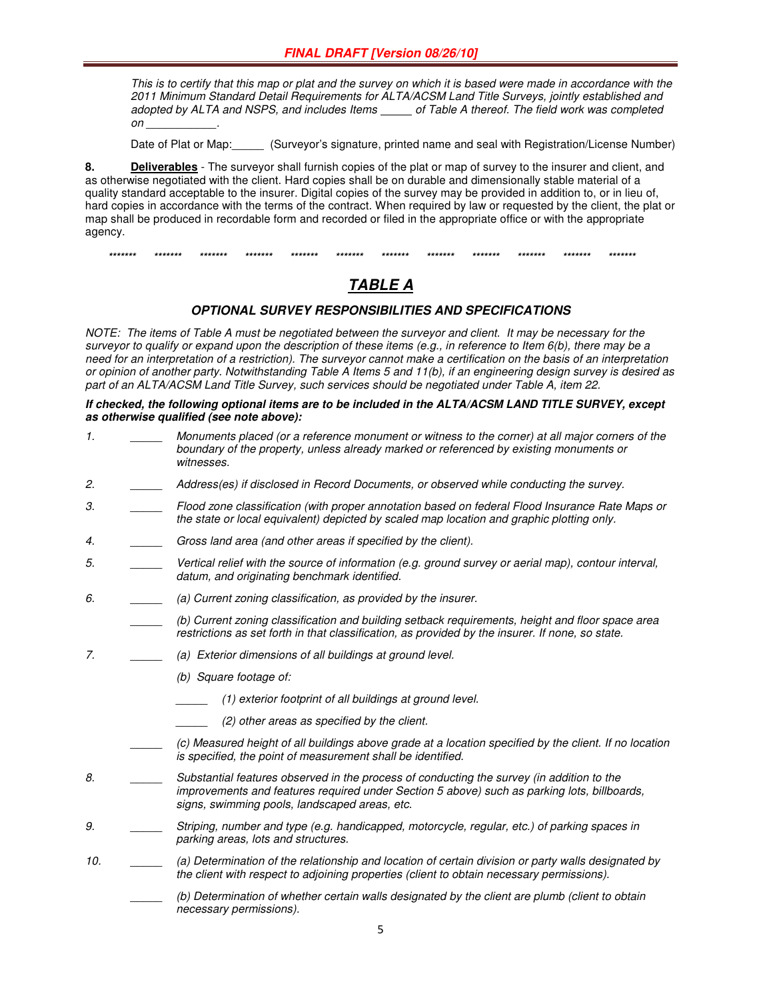This is to certify that this map or plat and the survey on which it is based were made in accordance with the 2011 Minimum Standard Detail Requirements for ALTA/ACSM Land Title Surveys, jointly established and adopted by ALTA and NSPS, and includes Items of Table A thereof. The field work was completed on

Date of Plat or Map: (Surveyor's signature, printed name and seal with Registration/License Number)

8. Deliverables - The surveyor shall furnish copies of the plat or map of survey to the insurer and client, and as otherwise negotiated with the client. Hard copies shall be on durable and dimensionally stable material of a quality standard acceptable to the insurer. Digital copies of the survey may be provided in addition to, or in lieu of, hard copies in accordance with the terms of the contract. When required by law or requested by the client, the plat or map shall be produced in recordable form and recorded or filed in the appropriate office or with the appropriate agency.

# TABLE A

\*\*\*\*\*\*\*

\*\*\*\*\*\*\*

\*\*\*\*\*\*\*

\*\*\*\*\*\*\*

\*\*\*\*\*\*\*

\*\*\*\*\*\*\*

 $******$ 

# **OPTIONAL SURVEY RESPONSIBILITIES AND SPECIFICATIONS**

NOTE: The items of Table A must be negotiated between the surveyor and client. It may be necessary for the surveyor to qualify or expand upon the description of these items (e.g., in reference to Item  $6(b)$ , there may be a need for an interpretation of a restriction). The surveyor cannot make a certification on the basis of an interpretation or opinion of another party. Notwithstanding Table A Items 5 and 11(b), if an engineering design survey is desired as part of an ALTA/ACSM Land Title Survey, such services should be negotiated under Table A, item 22.

If checked, the following optional items are to be included in the ALTA/ACSM LAND TITLE SURVEY, except as otherwise qualified (see note above):

- $\mathbf{1}$ . Monuments placed (or a reference monument or witness to the corner) at all major corners of the boundary of the property, unless already marked or referenced by existing monuments or witnesses.
- 2. Address(es) if disclosed in Record Documents, or observed while conducting the survey.
- 3. Flood zone classification (with proper annotation based on federal Flood Insurance Rate Maps or the state or local equivalent) depicted by scaled map location and graphic plotting only.
- Gross land area (and other areas if specified by the client). 4.
- 5. Vertical relief with the source of information (e.g. ground survey or aerial map), contour interval, datum, and originating benchmark identified.
- 6. (a) Current zoning classification, as provided by the insurer.
	- (b) Current zoning classification and building setback requirements, height and floor space area restrictions as set forth in that classification, as provided by the insurer. If none, so state.
- $Z_{\rm r}$ (a) Exterior dimensions of all buildings at ground level.
	- (b) Square footage of:

\*\*\*\*\*\*\*

 $******$ 

\*\*\*\*\*\*\*

\*\*\*\*\*\*\*

\*\*\*\*\*\*\*

- (1) exterior footprint of all buildings at ground level.
- (2) other areas as specified by the client.
- (c) Measured height of all buildings above grade at a location specified by the client. If no location is specified, the point of measurement shall be identified.
- 8. Substantial features observed in the process of conducting the survey (in addition to the improvements and features required under Section 5 above) such as parking lots, billboards, signs, swimming pools, landscaped areas, etc.
- Striping, number and type (e.g. handicapped, motorcycle, regular, etc.) of parking spaces in 9. parking areas, lots and structures.
- $10.$ (a) Determination of the relationship and location of certain division or party walls designated by the client with respect to adjoining properties (client to obtain necessary permissions).
	- (b) Determination of whether certain walls designated by the client are plumb (client to obtain necessary permissions).